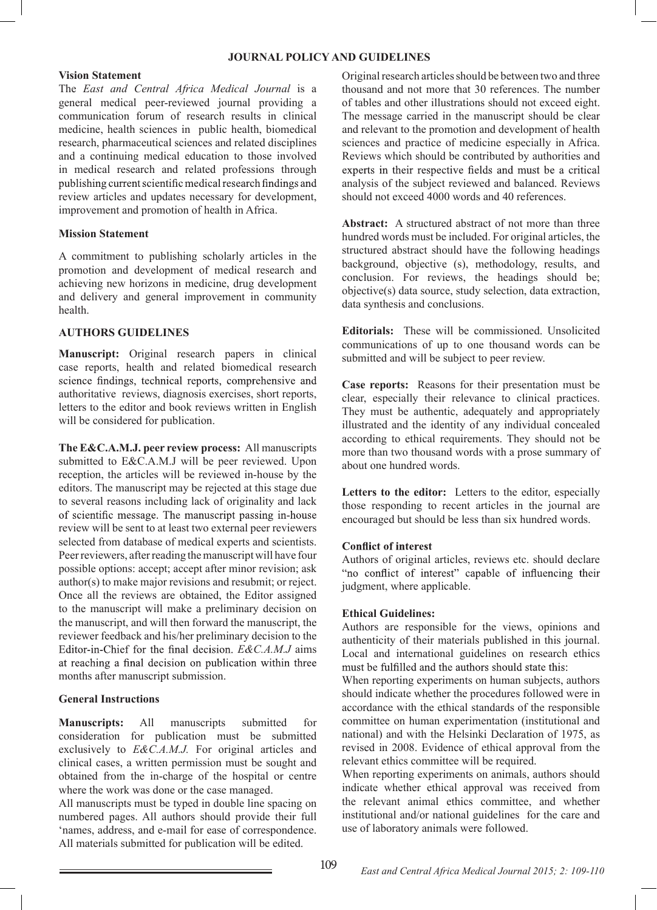#### **JOURNAL POLICY AND GUIDELINES**

#### **Vision Statement**

The *East and Central Africa Medical Journal* is a general medical peer-reviewed journal providing a communication forum of research results in clinical medicine, health sciences in public health, biomedical research, pharmaceutical sciences and related disciplines and a continuing medical education to those involved in medical research and related professions through<br>publishing current scientific medical research findings and review articles and updates necessary for development, improvement and promotion of health in Africa.

#### **Mission Statement**

A commitment to publishing scholarly articles in the promotion and development of medical research and achieving new horizons in medicine, drug development and delivery and general improvement in community health.

## **AUTHORS GUIDELINES**

**Manuscript:** Original research papers in clinical case reports, health and related biomedical research science findings, technical reports, comprehensive and authoritative reviews, diagnosis exercises, short reports, letters to the editor and book reviews written in English will be considered for publication.

**The E&C.A.M.J. peer review process:** All manuscripts submitted to E&C.A.M.J will be peer reviewed. Upon reception, the articles will be reviewed in-house by the editors. The manuscript may be rejected at this stage due to several reasons including lack of originality and lack of scientific message. The manuscript passing in-house review will be sent to at least two external peer reviewers selected from database of medical experts and scientists. Peer reviewers, after reading the manuscript will have four possible options: accept; accept after minor revision; ask author(s) to make major revisions and resubmit; or reject. Once all the reviews are obtained, the Editor assigned to the manuscript will make a preliminary decision on the manuscript, and will then forward the manuscript, the reviewer feedback and his/her preliminary decision to the *E&C.A.M.J* aims at reaching a final decision on publication within three months after manuscript submission.

## **General Instructions**

**Manuscripts:** All manuscripts submitted for consideration for publication must be submitted exclusively to *E&C.A.M.J.* For original articles and clinical cases, a written permission must be sought and obtained from the in-charge of the hospital or centre where the work was done or the case managed.

All manuscripts must be typed in double line spacing on numbered pages. All authors should provide their full 'names, address, and e-mail for ease of correspondence. All materials submitted for publication will be edited.

Original research articles should be between two and three thousand and not more that 30 references. The number of tables and other illustrations should not exceed eight. The message carried in the manuscript should be clear and relevant to the promotion and development of health sciences and practice of medicine especially in Africa. Reviews which should be contributed by authorities and experts in their respective fields and must be a critical analysis of the subject reviewed and balanced. Reviews should not exceed 4000 words and 40 references.

**Abstract:** A structured abstract of not more than three hundred words must be included. For original articles, the structured abstract should have the following headings background, objective (s), methodology, results, and conclusion. For reviews, the headings should be; objective(s) data source, study selection, data extraction, data synthesis and conclusions.

**Editorials:** These will be commissioned. Unsolicited communications of up to one thousand words can be submitted and will be subject to peer review.

**Case reports:** Reasons for their presentation must be clear, especially their relevance to clinical practices. They must be authentic, adequately and appropriately illustrated and the identity of any individual concealed according to ethical requirements. They should not be more than two thousand words with a prose summary of about one hundred words.

**Letters to the editor:** Letters to the editor, especially those responding to recent articles in the journal are encouraged but should be less than six hundred words.

## **Conflict of interest**

Authors of original articles, reviews etc. should declare "no conflict of interest" capable of influencing their judgment, where applicable.

#### **Ethical Guidelines:**

Authors are responsible for the views, opinions and authenticity of their materials published in this journal. Local and international guidelines on research ethics must be fulfilled and the authors should state this:

When reporting experiments on human subjects, authors should indicate whether the procedures followed were in accordance with the ethical standards of the responsible committee on human experimentation (institutional and national) and with the Helsinki Declaration of 1975, as revised in 2008. Evidence of ethical approval from the relevant ethics committee will be required.

When reporting experiments on animals, authors should indicate whether ethical approval was received from the relevant animal ethics committee, and whether institutional and/or national guidelines for the care and use of laboratory animals were followed.